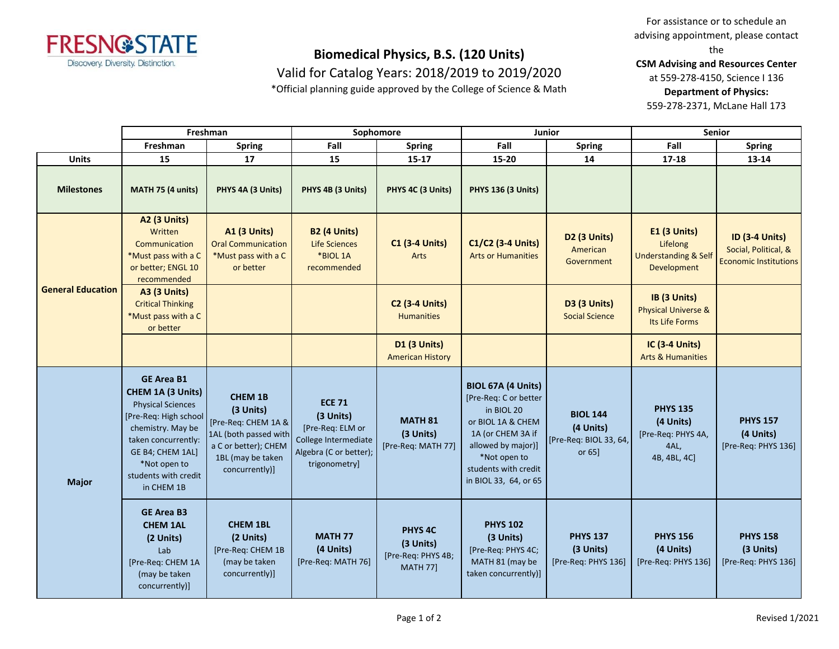

Valid for Catalog Years: 2018/2019 to 2019/2020

\*Official planning guide approved by the College of Science & Math

For assistance or to schedule an advising appointment, please contact the

**CSM Advising and Resources Center**

at 559-278-4150, Science I 136

**Department of Physics:**

559-278-2371, McLane Hall 173

|                          | Freshman                                                                                                                                                                                                          |                                                                                                                                            | Sophomore                                                                                                         |                                                                          |                                                                                                                                                                                            | <b>Junior</b>                                                       | <b>Senior</b>                                                                     |                                                                               |
|--------------------------|-------------------------------------------------------------------------------------------------------------------------------------------------------------------------------------------------------------------|--------------------------------------------------------------------------------------------------------------------------------------------|-------------------------------------------------------------------------------------------------------------------|--------------------------------------------------------------------------|--------------------------------------------------------------------------------------------------------------------------------------------------------------------------------------------|---------------------------------------------------------------------|-----------------------------------------------------------------------------------|-------------------------------------------------------------------------------|
|                          | Freshman                                                                                                                                                                                                          | <b>Spring</b>                                                                                                                              | Fall                                                                                                              | <b>Spring</b>                                                            | Fall                                                                                                                                                                                       | <b>Spring</b>                                                       | Fall                                                                              | Spring                                                                        |
| <b>Units</b>             | 15                                                                                                                                                                                                                | 17                                                                                                                                         | 15                                                                                                                | $15 - 17$                                                                | 15-20                                                                                                                                                                                      | 14                                                                  | $17 - 18$                                                                         | 13-14                                                                         |
| <b>Milestones</b>        | MATH 75 (4 units)                                                                                                                                                                                                 | PHYS 4A (3 Units)                                                                                                                          | PHYS 4B (3 Units)                                                                                                 | PHYS 4C (3 Units)                                                        | <b>PHYS 136 (3 Units)</b>                                                                                                                                                                  |                                                                     |                                                                                   |                                                                               |
| <b>General Education</b> | <b>A2 (3 Units)</b><br>Written<br>Communication<br>*Must pass with a C<br>or better; ENGL 10<br>recommended                                                                                                       | <b>A1 (3 Units)</b><br><b>Oral Communication</b><br>*Must pass with a C<br>or better                                                       | <b>B2 (4 Units)</b><br><b>Life Sciences</b><br>*BIOL 1A<br>recommended                                            | <b>C1 (3-4 Units)</b><br>Arts                                            | C1/C2 (3-4 Units)<br><b>Arts or Humanities</b>                                                                                                                                             | D2 (3 Units)<br>American<br>Government                              | <b>E1 (3 Units)</b><br>Lifelong<br><b>Understanding &amp; Self</b><br>Development | <b>ID (3-4 Units)</b><br>Social, Political, &<br><b>Economic Institutions</b> |
|                          | A3 (3 Units)<br><b>Critical Thinking</b><br>*Must pass with a C<br>or better                                                                                                                                      |                                                                                                                                            |                                                                                                                   | <b>C2 (3-4 Units)</b><br><b>Humanities</b>                               |                                                                                                                                                                                            | D3 (3 Units)<br><b>Social Science</b>                               | IB (3 Units)<br><b>Physical Universe &amp;</b><br>Its Life Forms                  |                                                                               |
|                          |                                                                                                                                                                                                                   |                                                                                                                                            |                                                                                                                   | <b>D1 (3 Units)</b><br><b>American History</b>                           |                                                                                                                                                                                            |                                                                     | IC (3-4 Units)<br><b>Arts &amp; Humanities</b>                                    |                                                                               |
| <b>Major</b>             | <b>GE Area B1</b><br>CHEM 1A (3 Units)<br><b>Physical Sciences</b><br>[Pre-Req: High school<br>chemistry. May be<br>taken concurrently:<br>GE B4; CHEM 1AL]<br>*Not open to<br>students with credit<br>in CHEM 1B | <b>CHEM 1B</b><br>(3 Units)<br>[Pre-Req: CHEM 1A &<br>1AL (both passed with<br>a C or better); CHEM<br>1BL (may be taken<br>concurrently)] | <b>ECE 71</b><br>(3 Units)<br>[Pre-Req: ELM or<br>College Intermediate<br>Algebra (C or better);<br>trigonometry] | <b>MATH 81</b><br>(3 Units)<br>[Pre-Req: MATH 77]                        | BIOL 67A (4 Units)<br>[Pre-Req: C or better<br>in BIOL 20<br>or BIOL 1A & CHEM<br>1A (or CHEM 3A if<br>allowed by major)]<br>*Not open to<br>students with credit<br>in BIOL 33, 64, or 65 | <b>BIOL 144</b><br>(4 Units)<br>[Pre-Req: BIOL 33, 64,<br>or $65$ ] | <b>PHYS 135</b><br>(4 Units)<br>[Pre-Req: PHYS 4A,<br>4AL,<br>4B, 4BL, 4C]        | <b>PHYS 157</b><br>(4 Units)<br>[Pre-Req: PHYS 136]                           |
|                          | <b>GE Area B3</b><br><b>CHEM 1AL</b><br>(2 Units)<br>Lab<br>[Pre-Req: CHEM 1A<br>(may be taken<br>concurrently)]                                                                                                  | <b>CHEM 1BL</b><br>(2 Units)<br>[Pre-Reg: CHEM 1B<br>(may be taken<br>concurrently)]                                                       | <b>MATH 77</b><br>(4 Units)<br>[Pre-Req: MATH 76]                                                                 | PHYS <sub>4C</sub><br>(3 Units)<br>[Pre-Req: PHYS 4B;<br><b>MATH 77]</b> | <b>PHYS 102</b><br>(3 Units)<br>[Pre-Req: PHYS 4C;<br>MATH 81 (may be<br>taken concurrently)]                                                                                              | <b>PHYS 137</b><br>(3 Units)<br>[Pre-Req: PHYS 136]                 | <b>PHYS 156</b><br>(4 Units)<br>[Pre-Req: PHYS 136]                               | <b>PHYS 158</b><br>(3 Units)<br>[Pre-Req: PHYS 136]                           |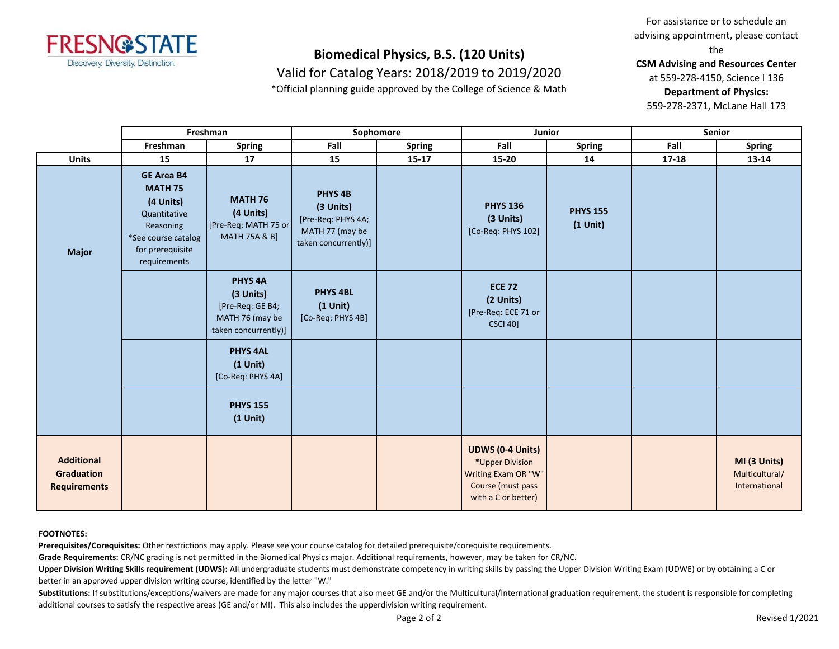

Valid for Catalog Years: 2018/2019 to 2019/2020

\*Official planning guide approved by the College of Science & Math

For assistance or to schedule an advising appointment, please contact the

**CSM Advising and Resources Center**

at 559-278-4150, Science I 136

**Department of Physics:**

559-278-2371, McLane Hall 173

|                                                        | Freshman                                                                                                                                 |                                                                                            | Sophomore                                                                                    |               | <b>Junior</b>                                                                                                 |                               | <b>Senior</b> |                                                 |
|--------------------------------------------------------|------------------------------------------------------------------------------------------------------------------------------------------|--------------------------------------------------------------------------------------------|----------------------------------------------------------------------------------------------|---------------|---------------------------------------------------------------------------------------------------------------|-------------------------------|---------------|-------------------------------------------------|
|                                                        | Freshman                                                                                                                                 | <b>Spring</b>                                                                              | Fall                                                                                         | <b>Spring</b> | Fall                                                                                                          | <b>Spring</b>                 | Fall          | <b>Spring</b>                                   |
| <b>Units</b>                                           | 15                                                                                                                                       | 17                                                                                         | 15                                                                                           | $15-17$       | $15 - 20$                                                                                                     | 14                            | 17-18         | 13-14                                           |
| <b>Major</b>                                           | <b>GE Area B4</b><br><b>MATH 75</b><br>(4 Units)<br>Quantitative<br>Reasoning<br>*See course catalog<br>for prerequisite<br>requirements | <b>MATH 76</b><br>(4 Units)<br>[Pre-Req: MATH 75 or<br><b>MATH 75A &amp; B]</b>            | <b>PHYS 4B</b><br>(3 Units)<br>[Pre-Req: PHYS 4A;<br>MATH 77 (may be<br>taken concurrently)] |               | <b>PHYS 136</b><br>(3 Units)<br>[Co-Req: PHYS 102]                                                            | <b>PHYS 155</b><br>$(1$ Unit) |               |                                                 |
|                                                        |                                                                                                                                          | <b>PHYS 4A</b><br>(3 Units)<br>[Pre-Req: GE B4;<br>MATH 76 (may be<br>taken concurrently)] | <b>PHYS 4BL</b><br>$(1$ Unit)<br>[Co-Req: PHYS 4B]                                           |               | <b>ECE 72</b><br>(2 Units)<br>[Pre-Req: ECE 71 or<br><b>CSCI 40]</b>                                          |                               |               |                                                 |
|                                                        |                                                                                                                                          | <b>PHYS 4AL</b><br>$(1$ Unit)<br>[Co-Req: PHYS 4A]                                         |                                                                                              |               |                                                                                                               |                               |               |                                                 |
|                                                        |                                                                                                                                          | <b>PHYS 155</b><br>$(1$ Unit)                                                              |                                                                                              |               |                                                                                                               |                               |               |                                                 |
| <b>Additional</b><br>Graduation<br><b>Requirements</b> |                                                                                                                                          |                                                                                            |                                                                                              |               | <b>UDWS (0-4 Units)</b><br>*Upper Division<br>Writing Exam OR "W"<br>Course (must pass<br>with a C or better) |                               |               | MI (3 Units)<br>Multicultural/<br>International |

#### **FOOTNOTES:**

**Prerequisites/Corequisites:** Other restrictions may apply. Please see your course catalog for detailed prerequisite/corequisite requirements.

**Grade Requirements:** CR/NC grading is not permitted in the Biomedical Physics major. Additional requirements, however, may be taken for CR/NC.

Upper Division Writing Skills requirement (UDWS): All undergraduate students must demonstrate competency in writing skills by passing the Upper Division Writing Exam (UDWE) or by obtaining a C or better in an approved upper division writing course, identified by the letter "W."

Substitutions: If substitutions/exceptions/waivers are made for any major courses that also meet GE and/or the Multicultural/International graduation requirement, the student is responsible for completing additional courses to satisfy the respective areas (GE and/or MI). This also includes the upperdivision writing requirement.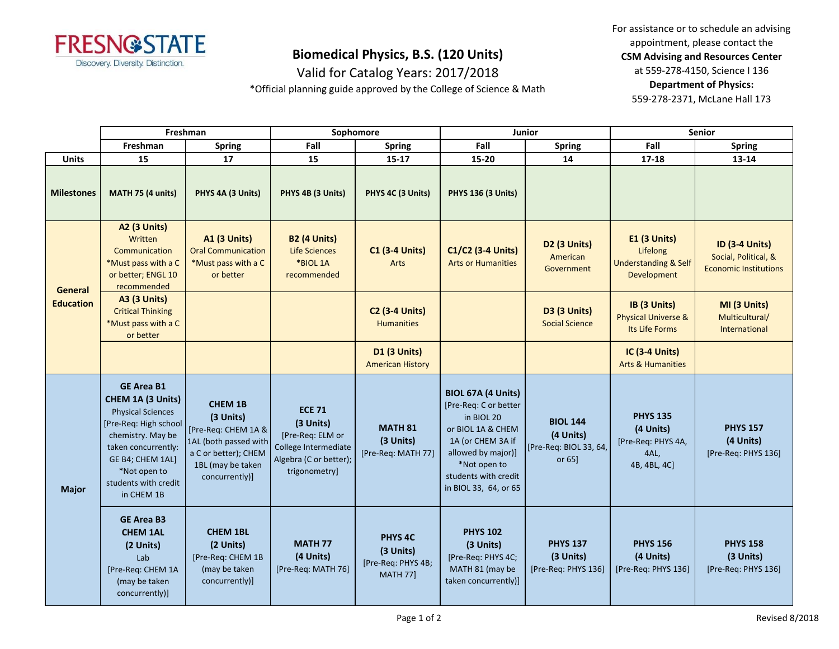

Valid for Catalog Years: 2017/2018

\*Official planning guide approved by the College of Science & Math

For assistance or to schedule an advising appointment, please contact the **CSM Advising and Resources Center** at 559-278-4150, Science I 136 **Department of Physics:** 559-278-2371, McLane Hall 173

|                             | Freshman                                                                                                                                                                                                          |                                                                                                                                            | Sophomore                                                                                                         |                                                                      | Junior                                                                                                                                                                                     |                                                                  | Senior                                                                            |                                                                               |
|-----------------------------|-------------------------------------------------------------------------------------------------------------------------------------------------------------------------------------------------------------------|--------------------------------------------------------------------------------------------------------------------------------------------|-------------------------------------------------------------------------------------------------------------------|----------------------------------------------------------------------|--------------------------------------------------------------------------------------------------------------------------------------------------------------------------------------------|------------------------------------------------------------------|-----------------------------------------------------------------------------------|-------------------------------------------------------------------------------|
|                             | Freshman                                                                                                                                                                                                          | <b>Spring</b>                                                                                                                              | Fall                                                                                                              | <b>Spring</b>                                                        | Fall                                                                                                                                                                                       | <b>Spring</b>                                                    | Fall                                                                              | <b>Spring</b>                                                                 |
| <b>Units</b>                | 15                                                                                                                                                                                                                | 17                                                                                                                                         | 15                                                                                                                | 15-17                                                                | 15-20                                                                                                                                                                                      | 14                                                               | $17 - 18$                                                                         | 13-14                                                                         |
| <b>Milestones</b>           | MATH 75 (4 units)                                                                                                                                                                                                 | PHYS 4A (3 Units)                                                                                                                          | PHYS 4B (3 Units)                                                                                                 | PHYS 4C (3 Units)                                                    | <b>PHYS 136 (3 Units)</b>                                                                                                                                                                  |                                                                  |                                                                                   |                                                                               |
| General<br><b>Education</b> | <b>A2 (3 Units)</b><br>Written<br>Communication<br>*Must pass with a C<br>or better; ENGL 10<br>recommended                                                                                                       | <b>A1 (3 Units)</b><br><b>Oral Communication</b><br>*Must pass with a C<br>or better                                                       | <b>B2 (4 Units)</b><br><b>Life Sciences</b><br>*BIOL 1A<br>recommended                                            | <b>C1 (3-4 Units)</b><br>Arts                                        | C1/C2 (3-4 Units)<br><b>Arts or Humanities</b>                                                                                                                                             | <b>D2 (3 Units)</b><br>American<br>Government                    | <b>E1 (3 Units)</b><br>Lifelong<br><b>Understanding &amp; Self</b><br>Development | <b>ID (3-4 Units)</b><br>Social, Political, &<br><b>Economic Institutions</b> |
|                             | <b>A3 (3 Units)</b><br><b>Critical Thinking</b><br>*Must pass with a C<br>or better                                                                                                                               |                                                                                                                                            |                                                                                                                   | <b>C2 (3-4 Units)</b><br><b>Humanities</b>                           |                                                                                                                                                                                            | <b>D3 (3 Units)</b><br><b>Social Science</b>                     | IB (3 Units)<br><b>Physical Universe &amp;</b><br>Its Life Forms                  | MI (3 Units)<br>Multicultural/<br>International                               |
|                             |                                                                                                                                                                                                                   |                                                                                                                                            |                                                                                                                   | <b>D1 (3 Units)</b><br><b>American History</b>                       |                                                                                                                                                                                            |                                                                  | <b>IC (3-4 Units)</b><br><b>Arts &amp; Humanities</b>                             |                                                                               |
| <b>Major</b>                | <b>GE Area B1</b><br>CHEM 1A (3 Units)<br><b>Physical Sciences</b><br>[Pre-Req: High school<br>chemistry. May be<br>taken concurrently:<br>GE B4; CHEM 1AL]<br>*Not open to<br>students with credit<br>in CHEM 1B | <b>CHEM 1B</b><br>(3 Units)<br>[Pre-Req: CHEM 1A &<br>1AL (both passed with<br>a C or better); CHEM<br>1BL (may be taken<br>concurrently)] | <b>ECE 71</b><br>(3 Units)<br>[Pre-Req: ELM or<br>College Intermediate<br>Algebra (C or better);<br>trigonometry] | <b>MATH 81</b><br>(3 Units)<br>[Pre-Req: MATH 77]                    | BIOL 67A (4 Units)<br>[Pre-Req: C or better<br>in BIOL 20<br>or BIOL 1A & CHEM<br>1A (or CHEM 3A if<br>allowed by major)]<br>*Not open to<br>students with credit<br>in BIOL 33, 64, or 65 | <b>BIOL 144</b><br>(4 Units)<br>[Pre-Req: BIOL 33, 64,<br>or 651 | <b>PHYS 135</b><br>(4 Units)<br>[Pre-Req: PHYS 4A,<br>4AL,<br>4B, 4BL, 4C]        | <b>PHYS 157</b><br>(4 Units)<br>[Pre-Req: PHYS 136]                           |
|                             | <b>GE Area B3</b><br><b>CHEM 1AL</b><br>(2 Units)<br>Lab<br>[Pre-Req: CHEM 1A<br>(may be taken<br>concurrently)]                                                                                                  | <b>CHEM 1BL</b><br>(2 Units)<br>[Pre-Req: CHEM 1B<br>(may be taken<br>concurrently)]                                                       | <b>MATH 77</b><br>(4 Units)<br>[Pre-Req: MATH 76]                                                                 | <b>PHYS 4C</b><br>(3 Units)<br>[Pre-Req: PHYS 4B;<br><b>MATH 77]</b> | <b>PHYS 102</b><br>(3 Units)<br>[Pre-Req: PHYS 4C;<br>MATH 81 (may be<br>taken concurrently)]                                                                                              | <b>PHYS 137</b><br>(3 Units)<br>[Pre-Req: PHYS 136]              | <b>PHYS 156</b><br>(4 Units)<br>[Pre-Req: PHYS 136]                               | <b>PHYS 158</b><br>(3 Units)<br>[Pre-Req: PHYS 136]                           |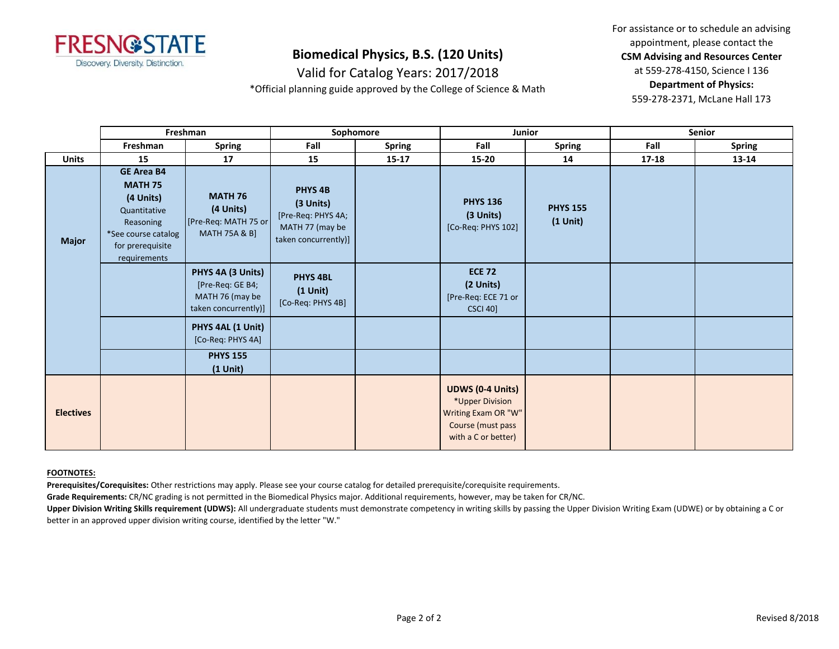

Valid for Catalog Years: 2017/2018

\*Official planning guide approved by the College of Science & Math

For assistance or to schedule an advising appointment, please contact the **CSM Advising and Resources Center** at 559-278-4150, Science I 136 **Department of Physics:** 559-278-2371, McLane Hall 173

|                  | Freshman                                                                                                                                 |                                                                                  | Sophomore                                                                                        |               | Junior                                                                                                        |                               | <b>Senior</b> |               |
|------------------|------------------------------------------------------------------------------------------------------------------------------------------|----------------------------------------------------------------------------------|--------------------------------------------------------------------------------------------------|---------------|---------------------------------------------------------------------------------------------------------------|-------------------------------|---------------|---------------|
|                  | Freshman                                                                                                                                 | Spring                                                                           | Fall                                                                                             | <b>Spring</b> | Fall                                                                                                          | <b>Spring</b>                 | Fall          | <b>Spring</b> |
| <b>Units</b>     | 15                                                                                                                                       | 17                                                                               | 15                                                                                               | $15 - 17$     | $15 - 20$                                                                                                     | 14                            | 17-18         | 13-14         |
| <b>Major</b>     | <b>GE Area B4</b><br><b>MATH 75</b><br>(4 Units)<br>Quantitative<br>Reasoning<br>*See course catalog<br>for prerequisite<br>requirements | <b>MATH 76</b><br>(4 Units)<br>[Pre-Req: MATH 75 or<br><b>MATH 75A &amp; B]</b>  | PHYS <sub>4B</sub><br>(3 Units)<br>[Pre-Req: PHYS 4A;<br>MATH 77 (may be<br>taken concurrently)] |               | <b>PHYS 136</b><br>(3 Units)<br>[Co-Req: PHYS 102]                                                            | <b>PHYS 155</b><br>$(1$ Unit) |               |               |
|                  |                                                                                                                                          | PHYS 4A (3 Units)<br>[Pre-Req: GE B4;<br>MATH 76 (may be<br>taken concurrently)] | <b>PHYS 4BL</b><br>$(1$ Unit $)$<br>[Co-Req: PHYS 4B]                                            |               | <b>ECE 72</b><br>(2 Units)<br>[Pre-Req: ECE 71 or<br><b>CSCI 40]</b>                                          |                               |               |               |
|                  |                                                                                                                                          | PHYS 4AL (1 Unit)<br>[Co-Req: PHYS 4A]                                           |                                                                                                  |               |                                                                                                               |                               |               |               |
|                  |                                                                                                                                          | <b>PHYS 155</b><br>$(1$ Unit)                                                    |                                                                                                  |               |                                                                                                               |                               |               |               |
| <b>Electives</b> |                                                                                                                                          |                                                                                  |                                                                                                  |               | <b>UDWS (0-4 Units)</b><br>*Upper Division<br>Writing Exam OR "W"<br>Course (must pass<br>with a C or better) |                               |               |               |

#### **FOOTNOTES:**

**Prerequisites/Corequisites:** Other restrictions may apply. Please see your course catalog for detailed prerequisite/corequisite requirements.

**Grade Requirements:** CR/NC grading is not permitted in the Biomedical Physics major. Additional requirements, however, may be taken for CR/NC.

Upper Division Writing Skills requirement (UDWS): All undergraduate students must demonstrate competency in writing skills by passing the Upper Division Writing Exam (UDWE) or by obtaining a C or better in an approved upper division writing course, identified by the letter "W."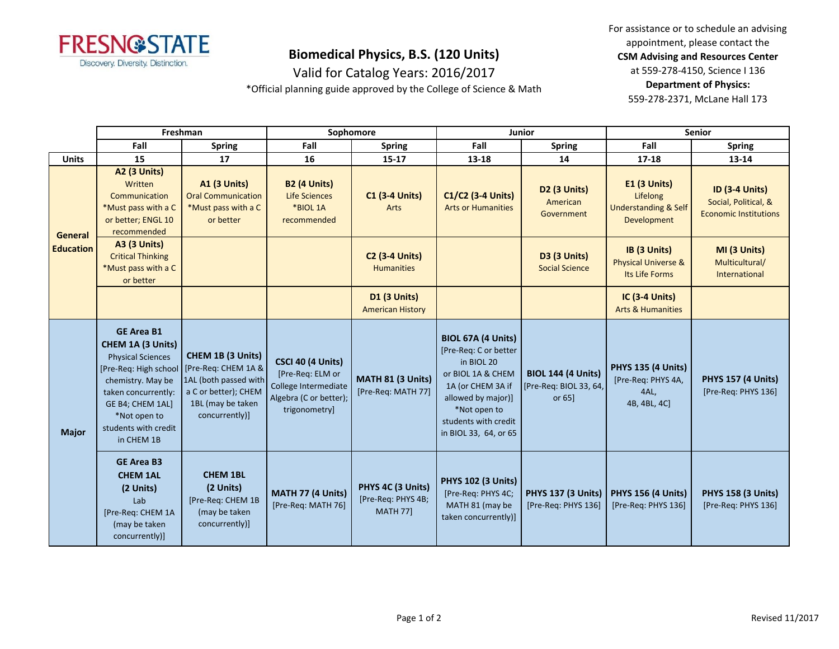

For assistance or to schedule an advising appointment, please contact the **CSM Advising and Resources Center** at 559-278-4150, Science I 136

Valid for Catalog Years: 2016/2017 \*Official planning guide approved by the College of Science & Math

**Department of Physics:** 559-278-2371, McLane Hall 173

|                                    | Freshman                                                                                                                                                                                                          |                                                                                                                                  | Sophomore                                                                                                |                                                            | Junior                                                                                                                                                                                     |                                                                  | <b>Senior</b>                                                                     |                                                                               |
|------------------------------------|-------------------------------------------------------------------------------------------------------------------------------------------------------------------------------------------------------------------|----------------------------------------------------------------------------------------------------------------------------------|----------------------------------------------------------------------------------------------------------|------------------------------------------------------------|--------------------------------------------------------------------------------------------------------------------------------------------------------------------------------------------|------------------------------------------------------------------|-----------------------------------------------------------------------------------|-------------------------------------------------------------------------------|
|                                    | Fall                                                                                                                                                                                                              | <b>Spring</b>                                                                                                                    | Fall                                                                                                     | <b>Spring</b>                                              | Fall                                                                                                                                                                                       | <b>Spring</b>                                                    | Fall                                                                              | <b>Spring</b>                                                                 |
| <b>Units</b>                       | 15                                                                                                                                                                                                                | 17                                                                                                                               | 16                                                                                                       | $15 - 17$                                                  | 13-18                                                                                                                                                                                      | 14                                                               | $17 - 18$                                                                         | 13-14                                                                         |
| <b>General</b><br><b>Education</b> | A2 (3 Units)<br>Written<br>Communication<br>*Must pass with a C<br>or better; ENGL 10<br>recommended                                                                                                              | <b>A1 (3 Units)</b><br><b>Oral Communication</b><br>*Must pass with a C<br>or better                                             | <b>B2 (4 Units)</b><br><b>Life Sciences</b><br>*BIOL 1A<br>recommended                                   | <b>C1 (3-4 Units)</b><br>Arts                              | C1/C2 (3-4 Units)<br><b>Arts or Humanities</b>                                                                                                                                             | D2 (3 Units)<br>American<br>Government                           | <b>E1 (3 Units)</b><br>Lifelong<br><b>Understanding &amp; Self</b><br>Development | <b>ID (3-4 Units)</b><br>Social, Political, &<br><b>Economic Institutions</b> |
|                                    | <b>A3 (3 Units)</b><br><b>Critical Thinking</b><br>*Must pass with a C<br>or better                                                                                                                               |                                                                                                                                  |                                                                                                          | <b>C2 (3-4 Units)</b><br><b>Humanities</b>                 |                                                                                                                                                                                            | D3 (3 Units)<br><b>Social Science</b>                            | IB (3 Units)<br><b>Physical Universe &amp;</b><br>Its Life Forms                  | MI (3 Units)<br>Multicultural/<br>International                               |
|                                    |                                                                                                                                                                                                                   |                                                                                                                                  |                                                                                                          | <b>D1 (3 Units)</b><br><b>American History</b>             |                                                                                                                                                                                            |                                                                  | <b>IC (3-4 Units)</b><br><b>Arts &amp; Humanities</b>                             |                                                                               |
| <b>Major</b>                       | <b>GE Area B1</b><br>CHEM 1A (3 Units)<br><b>Physical Sciences</b><br>[Pre-Req: High school<br>chemistry. May be<br>taken concurrently:<br>GE B4; CHEM 1AL]<br>*Not open to<br>students with credit<br>in CHEM 1B | CHEM 1B (3 Units)<br>[Pre-Req: CHEM 1A &<br>1AL (both passed with<br>a C or better); CHEM<br>1BL (may be taken<br>concurrently)] | CSCI 40 (4 Units)<br>[Pre-Req: ELM or<br>College Intermediate<br>Algebra (C or better);<br>trigonometry] | MATH 81 (3 Units)<br>[Pre-Req: MATH 77]                    | BIOL 67A (4 Units)<br>[Pre-Req: C or better<br>in BIOL 20<br>or BIOL 1A & CHEM<br>1A (or CHEM 3A if<br>allowed by major)]<br>*Not open to<br>students with credit<br>in BIOL 33, 64, or 65 | <b>BIOL 144 (4 Units)</b><br>[Pre-Req: BIOL 33, 64,<br>or $65$ ] | <b>PHYS 135 (4 Units)</b><br>[Pre-Req: PHYS 4A,<br>4AL,<br>4B, 4BL, 4C]           | <b>PHYS 157 (4 Units)</b><br>[Pre-Req: PHYS 136]                              |
|                                    | <b>GE Area B3</b><br><b>CHEM 1AL</b><br>(2 Units)<br>Lab<br>[Pre-Req: CHEM 1A<br>(may be taken<br>concurrently)]                                                                                                  | <b>CHEM 1BL</b><br>(2 Units)<br>[Pre-Req: CHEM 1B<br>(may be taken<br>concurrently)]                                             | MATH 77 (4 Units)<br>[Pre-Req: MATH 76]                                                                  | PHYS 4C (3 Units)<br>[Pre-Req: PHYS 4B;<br><b>MATH 77]</b> | <b>PHYS 102 (3 Units)</b><br>[Pre-Reg: PHYS 4C;<br>MATH 81 (may be<br>taken concurrently)]                                                                                                 | <b>PHYS 137 (3 Units)</b><br>[Pre-Req: PHYS 136]                 | <b>PHYS 156 (4 Units)</b><br>[Pre-Req: PHYS 136]                                  | <b>PHYS 158 (3 Units)</b><br>[Pre-Reg: PHYS 136]                              |